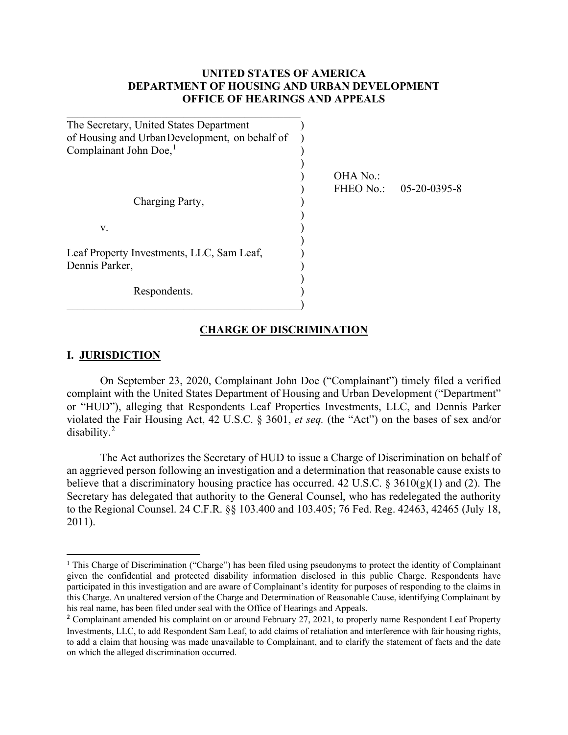#### **UNITED STATES OF AMERICA DEPARTMENT OF HOUSING AND URBAN DEVELOPMENT OFFICE OF HEARINGS AND APPEALS**

| The Secretary, United States Department<br>of Housing and UrbanDevelopment, on behalf of<br>Complainant John Doe, <sup>1</sup> |                       |              |
|--------------------------------------------------------------------------------------------------------------------------------|-----------------------|--------------|
| Charging Party,                                                                                                                | OHA No.:<br>FHEO No.: | 05-20-0395-8 |
| V.                                                                                                                             |                       |              |
| Leaf Property Investments, LLC, Sam Leaf,<br>Dennis Parker,                                                                    |                       |              |
| Respondents.                                                                                                                   |                       |              |

#### **CHARGE OF DISCRIMINATION**

#### **I. JURISDICTION**

l

On September 23, 2020, Complainant John Doe ("Complainant") timely filed a verified complaint with the United States Department of Housing and Urban Development ("Department" or "HUD"), alleging that Respondents Leaf Properties Investments, LLC, and Dennis Parker violated the Fair Housing Act, 42 U.S.C. § 3601, *et seq.* (the "Act") on the bases of sex and/or disability.<sup>[2](#page-0-1)</sup>

The Act authorizes the Secretary of HUD to issue a Charge of Discrimination on behalf of an aggrieved person following an investigation and a determination that reasonable cause exists to believe that a discriminatory housing practice has occurred. 42 U.S.C. § 3610(g)(1) and (2). The Secretary has delegated that authority to the General Counsel, who has redelegated the authority to the Regional Counsel. 24 C.F.R. §§ 103.400 and 103.405; 76 Fed. Reg. 42463, 42465 (July 18, 2011).

<span id="page-0-0"></span><sup>&</sup>lt;sup>1</sup> This Charge of Discrimination ("Charge") has been filed using pseudonyms to protect the identity of Complainant given the confidential and protected disability information disclosed in this public Charge. Respondents have participated in this investigation and are aware of Complainant's identity for purposes of responding to the claims in this Charge. An unaltered version of the Charge and Determination of Reasonable Cause, identifying Complainant by his real name, has been filed under seal with the Office of Hearings and Appeals.

<span id="page-0-1"></span><sup>&</sup>lt;sup>2</sup> Complainant amended his complaint on or around February 27, 2021, to properly name Respondent Leaf Property Investments, LLC, to add Respondent Sam Leaf, to add claims of retaliation and interference with fair housing rights, to add a claim that housing was made unavailable to Complainant, and to clarify the statement of facts and the date on which the alleged discrimination occurred.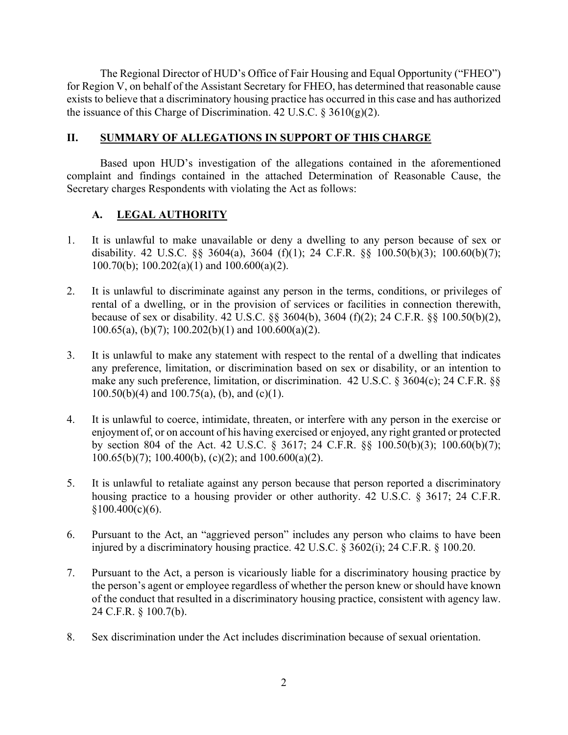The Regional Director of HUD's Office of Fair Housing and Equal Opportunity ("FHEO") for Region V, on behalf of the Assistant Secretary for FHEO, has determined that reasonable cause exists to believe that a discriminatory housing practice has occurred in this case and has authorized the issuance of this Charge of Discrimination. 42 U.S.C.  $\S 3610(g)(2)$ .

## **II. SUMMARY OF ALLEGATIONS IN SUPPORT OF THIS CHARGE**

Based upon HUD's investigation of the allegations contained in the aforementioned complaint and findings contained in the attached Determination of Reasonable Cause, the Secretary charges Respondents with violating the Act as follows:

# **A. LEGAL AUTHORITY**

- 1. It is unlawful to make unavailable or deny a dwelling to any person because of sex or disability. 42 U.S.C. §§ 3604(a), 3604 (f)(1); 24 C.F.R. §§ 100.50(b)(3); 100.60(b)(7); 100.70(b); 100.202(a)(1) and 100.600(a)(2).
- 2. It is unlawful to discriminate against any person in the terms, conditions, or privileges of rental of a dwelling, or in the provision of services or facilities in connection therewith, because of sex or disability. 42 U.S.C. §§ 3604(b), 3604 (f)(2); 24 C.F.R. §§ 100.50(b)(2),  $100.65(a)$ , (b)(7);  $100.202(b)(1)$  and  $100.600(a)(2)$ .
- 3. It is unlawful to make any statement with respect to the rental of a dwelling that indicates any preference, limitation, or discrimination based on sex or disability, or an intention to make any such preference, limitation, or discrimination. 42 U.S.C. § 3604(c); 24 C.F.R. §§  $100.50(b)(4)$  and  $100.75(a)$ , (b), and (c)(1).
- 4. It is unlawful to coerce, intimidate, threaten, or interfere with any person in the exercise or enjoyment of, or on account of his having exercised or enjoyed, any right granted or protected by section 804 of the Act. 42 U.S.C. § 3617; 24 C.F.R. §§ 100.50(b)(3); 100.60(b)(7);  $100.65(b)(7)$ ; 100.400(b), (c)(2); and  $100.600(a)(2)$ .
- 5. It is unlawful to retaliate against any person because that person reported a discriminatory housing practice to a housing provider or other authority. 42 U.S.C. § 3617; 24 C.F.R.  $$100.400(c)(6).$
- 6. Pursuant to the Act, an "aggrieved person" includes any person who claims to have been injured by a discriminatory housing practice. 42 U.S.C. § 3602(i); 24 C.F.R. § 100.20.
- 7. Pursuant to the Act, a person is vicariously liable for a discriminatory housing practice by the person's agent or employee regardless of whether the person knew or should have known of the conduct that resulted in a discriminatory housing practice, consistent with agency law. 24 C.F.R. § 100.7(b).
- 8. Sex discrimination under the Act includes discrimination because of sexual orientation.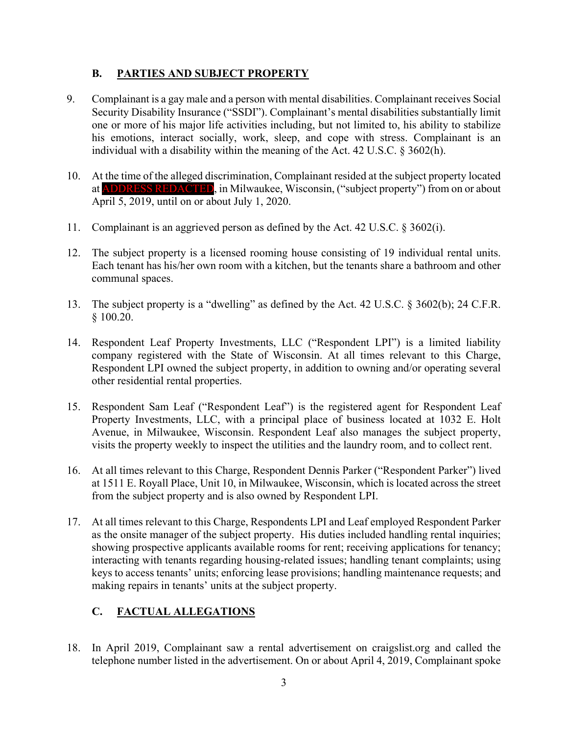## **B. PARTIES AND SUBJECT PROPERTY**

- 9. Complainant is a gay male and a person with mental disabilities. Complainant receives Social Security Disability Insurance ("SSDI"). Complainant's mental disabilities substantially limit one or more of his major life activities including, but not limited to, his ability to stabilize his emotions, interact socially, work, sleep, and cope with stress. Complainant is an individual with a disability within the meaning of the Act. 42 U.S.C. § 3602(h).
- 10. At the time of the alleged discrimination, Complainant resided at the subject property located at ADDRESS REDACTED, in Milwaukee, Wisconsin, ("subject property") from on or about April 5, 2019, until on or about July 1, 2020.
- 11. Complainant is an aggrieved person as defined by the Act. 42 U.S.C. § 3602(i).
- 12. The subject property is a licensed rooming house consisting of 19 individual rental units. Each tenant has his/her own room with a kitchen, but the tenants share a bathroom and other communal spaces.
- 13. The subject property is a "dwelling" as defined by the Act. 42 U.S.C. § 3602(b); 24 C.F.R. § 100.20.
- 14. Respondent Leaf Property Investments, LLC ("Respondent LPI") is a limited liability company registered with the State of Wisconsin. At all times relevant to this Charge, Respondent LPI owned the subject property, in addition to owning and/or operating several other residential rental properties.
- 15. Respondent Sam Leaf ("Respondent Leaf") is the registered agent for Respondent Leaf Property Investments, LLC, with a principal place of business located at 1032 E. Holt Avenue, in Milwaukee, Wisconsin. Respondent Leaf also manages the subject property, visits the property weekly to inspect the utilities and the laundry room, and to collect rent.
- 16. At all times relevant to this Charge, Respondent Dennis Parker ("Respondent Parker") lived at 1511 E. Royall Place, Unit 10, in Milwaukee, Wisconsin, which is located across the street from the subject property and is also owned by Respondent LPI.
- 17. At all times relevant to this Charge, Respondents LPI and Leaf employed Respondent Parker as the onsite manager of the subject property. His duties included handling rental inquiries; showing prospective applicants available rooms for rent; receiving applications for tenancy; interacting with tenants regarding housing-related issues; handling tenant complaints; using keys to access tenants' units; enforcing lease provisions; handling maintenance requests; and making repairs in tenants' units at the subject property.

# **C. FACTUAL ALLEGATIONS**

18. In April 2019, Complainant saw a rental advertisement on craigslist.org and called the telephone number listed in the advertisement. On or about April 4, 2019, Complainant spoke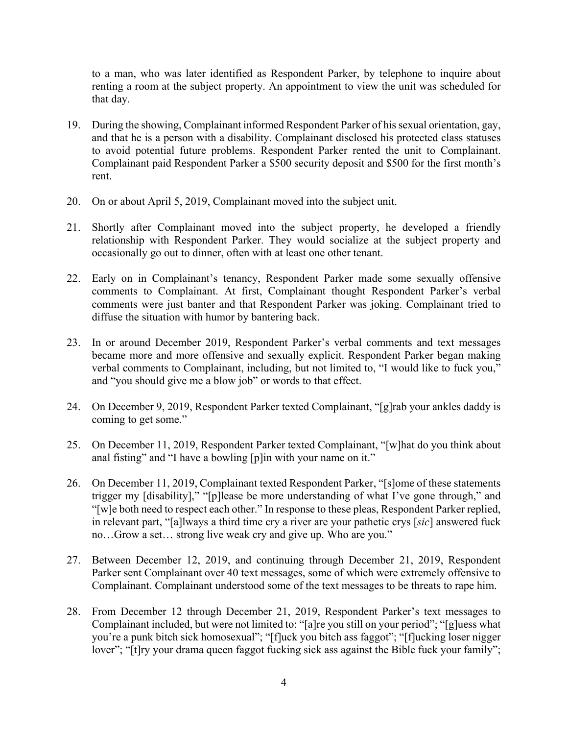to a man, who was later identified as Respondent Parker, by telephone to inquire about renting a room at the subject property. An appointment to view the unit was scheduled for that day.

- 19. During the showing, Complainant informed Respondent Parker of his sexual orientation, gay, and that he is a person with a disability. Complainant disclosed his protected class statuses to avoid potential future problems. Respondent Parker rented the unit to Complainant. Complainant paid Respondent Parker a \$500 security deposit and \$500 for the first month's rent.
- 20. On or about April 5, 2019, Complainant moved into the subject unit.
- 21. Shortly after Complainant moved into the subject property, he developed a friendly relationship with Respondent Parker. They would socialize at the subject property and occasionally go out to dinner, often with at least one other tenant.
- 22. Early on in Complainant's tenancy, Respondent Parker made some sexually offensive comments to Complainant. At first, Complainant thought Respondent Parker's verbal comments were just banter and that Respondent Parker was joking. Complainant tried to diffuse the situation with humor by bantering back.
- 23. In or around December 2019, Respondent Parker's verbal comments and text messages became more and more offensive and sexually explicit. Respondent Parker began making verbal comments to Complainant, including, but not limited to, "I would like to fuck you," and "you should give me a blow job" or words to that effect.
- 24. On December 9, 2019, Respondent Parker texted Complainant, "[g]rab your ankles daddy is coming to get some."
- 25. On December 11, 2019, Respondent Parker texted Complainant, "[w]hat do you think about anal fisting" and "I have a bowling [p]in with your name on it."
- 26. On December 11, 2019, Complainant texted Respondent Parker, "[s]ome of these statements trigger my [disability]," "[p]lease be more understanding of what I've gone through," and "[w]e both need to respect each other." In response to these pleas, Respondent Parker replied, in relevant part, "[a]lways a third time cry a river are your pathetic crys [*sic*] answered fuck no…Grow a set… strong live weak cry and give up. Who are you."
- 27. Between December 12, 2019, and continuing through December 21, 2019, Respondent Parker sent Complainant over 40 text messages, some of which were extremely offensive to Complainant. Complainant understood some of the text messages to be threats to rape him.
- 28. From December 12 through December 21, 2019, Respondent Parker's text messages to Complainant included, but were not limited to: "[a]re you still on your period"; "[g]uess what you're a punk bitch sick homosexual"; "[f]uck you bitch ass faggot"; "[f]ucking loser nigger lover"; "[t]ry your drama queen faggot fucking sick ass against the Bible fuck your family";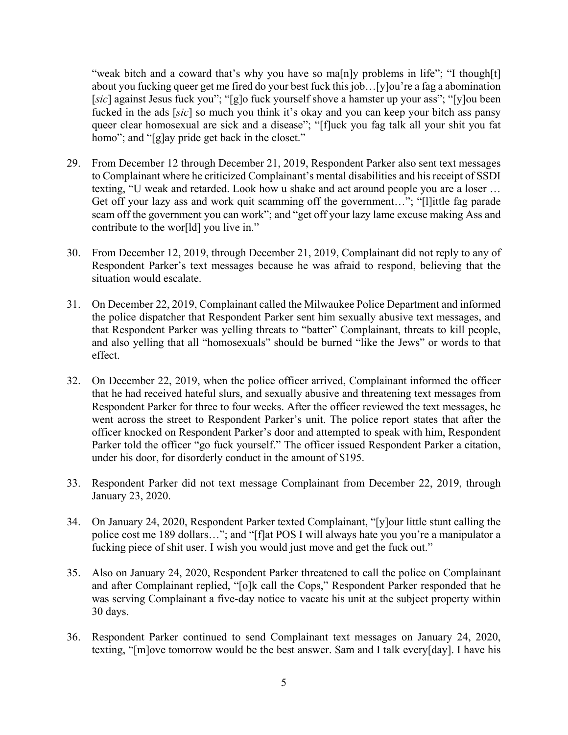"weak bitch and a coward that's why you have so ma[n]y problems in life"; "I though[t] about you fucking queer get me fired do your best fuck this job…[y]ou're a fag a abomination [*sic*] against Jesus fuck you"; "[g]o fuck yourself shove a hamster up your ass"; "[y]ou been fucked in the ads [*sic*] so much you think it's okay and you can keep your bitch ass pansy queer clear homosexual are sick and a disease"; "[f]uck you fag talk all your shit you fat homo"; and "[g]ay pride get back in the closet."

- 29. From December 12 through December 21, 2019, Respondent Parker also sent text messages to Complainant where he criticized Complainant's mental disabilities and his receipt of SSDI texting, "U weak and retarded. Look how u shake and act around people you are a loser … Get off your lazy ass and work quit scamming off the government..."; "[l]ittle fag parade scam off the government you can work"; and "get off your lazy lame excuse making Ass and contribute to the wor[ld] you live in."
- 30. From December 12, 2019, through December 21, 2019, Complainant did not reply to any of Respondent Parker's text messages because he was afraid to respond, believing that the situation would escalate.
- 31. On December 22, 2019, Complainant called the Milwaukee Police Department and informed the police dispatcher that Respondent Parker sent him sexually abusive text messages, and that Respondent Parker was yelling threats to "batter" Complainant, threats to kill people, and also yelling that all "homosexuals" should be burned "like the Jews" or words to that effect.
- 32. On December 22, 2019, when the police officer arrived, Complainant informed the officer that he had received hateful slurs, and sexually abusive and threatening text messages from Respondent Parker for three to four weeks. After the officer reviewed the text messages, he went across the street to Respondent Parker's unit. The police report states that after the officer knocked on Respondent Parker's door and attempted to speak with him, Respondent Parker told the officer "go fuck yourself." The officer issued Respondent Parker a citation, under his door, for disorderly conduct in the amount of \$195.
- 33. Respondent Parker did not text message Complainant from December 22, 2019, through January 23, 2020.
- 34. On January 24, 2020, Respondent Parker texted Complainant, "[y]our little stunt calling the police cost me 189 dollars…"; and "[f]at POS I will always hate you you're a manipulator a fucking piece of shit user. I wish you would just move and get the fuck out."
- 35. Also on January 24, 2020, Respondent Parker threatened to call the police on Complainant and after Complainant replied, "[o]k call the Cops," Respondent Parker responded that he was serving Complainant a five-day notice to vacate his unit at the subject property within 30 days.
- 36. Respondent Parker continued to send Complainant text messages on January 24, 2020, texting, "[m]ove tomorrow would be the best answer. Sam and I talk every[day]. I have his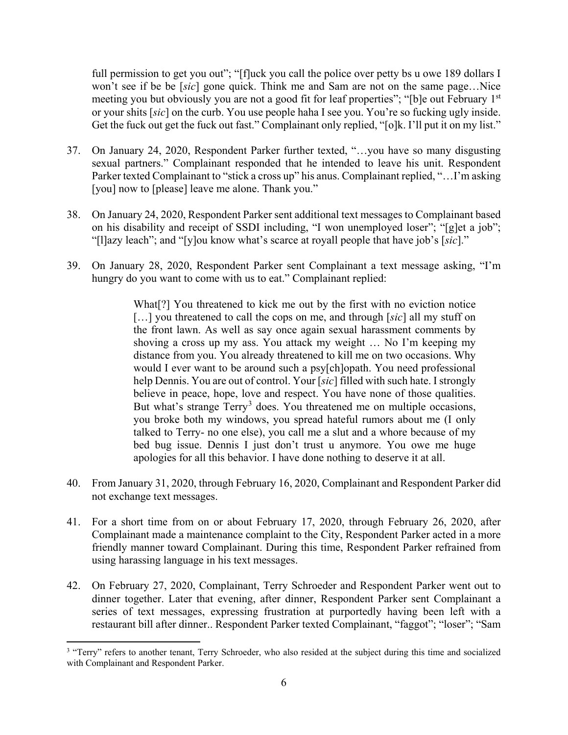full permission to get you out"; "[f]uck you call the police over petty bs u owe 189 dollars I won't see if be be [*sic*] gone quick. Think me and Sam are not on the same page…Nice meeting you but obviously you are not a good fit for leaf properties"; "[b]e out February 1<sup>st</sup> or your shits [*sic*] on the curb. You use people haha I see you. You're so fucking ugly inside. Get the fuck out get the fuck out fast." Complainant only replied, "[o]k. I'll put it on my list."

- 37. On January 24, 2020, Respondent Parker further texted, "…you have so many disgusting sexual partners." Complainant responded that he intended to leave his unit. Respondent Parker texted Complainant to "stick a cross up" his anus. Complainant replied, "…I'm asking [you] now to [please] leave me alone. Thank you."
- 38. On January 24, 2020, Respondent Parker sent additional text messages to Complainant based on his disability and receipt of SSDI including, "I won unemployed loser"; "[g]et a job"; "[l]azy leach"; and "[y]ou know what's scarce at royall people that have job's [*sic*]."
- 39. On January 28, 2020, Respondent Parker sent Complainant a text message asking, "I'm hungry do you want to come with us to eat." Complainant replied:

What[?] You threatened to kick me out by the first with no eviction notice [...] you threatened to call the cops on me, and through [*sic*] all my stuff on the front lawn. As well as say once again sexual harassment comments by shoving a cross up my ass. You attack my weight … No I'm keeping my distance from you. You already threatened to kill me on two occasions. Why would I ever want to be around such a psy[ch]opath. You need professional help Dennis. You are out of control. Your [*sic*] filled with such hate. I strongly believe in peace, hope, love and respect. You have none of those qualities. But what's strange  $Terry<sup>3</sup>$  $Terry<sup>3</sup>$  $Terry<sup>3</sup>$  does. You threatened me on multiple occasions, you broke both my windows, you spread hateful rumors about me (I only talked to Terry- no one else), you call me a slut and a whore because of my bed bug issue. Dennis I just don't trust u anymore. You owe me huge apologies for all this behavior. I have done nothing to deserve it at all.

- 40. From January 31, 2020, through February 16, 2020, Complainant and Respondent Parker did not exchange text messages.
- 41. For a short time from on or about February 17, 2020, through February 26, 2020, after Complainant made a maintenance complaint to the City, Respondent Parker acted in a more friendly manner toward Complainant. During this time, Respondent Parker refrained from using harassing language in his text messages.
- 42. On February 27, 2020, Complainant, Terry Schroeder and Respondent Parker went out to dinner together. Later that evening, after dinner, Respondent Parker sent Complainant a series of text messages, expressing frustration at purportedly having been left with a restaurant bill after dinner.. Respondent Parker texted Complainant, "faggot"; "loser"; "Sam

 $\overline{\phantom{a}}$ 

<span id="page-5-0"></span><sup>&</sup>lt;sup>3</sup> "Terry" refers to another tenant, Terry Schroeder, who also resided at the subject during this time and socialized with Complainant and Respondent Parker.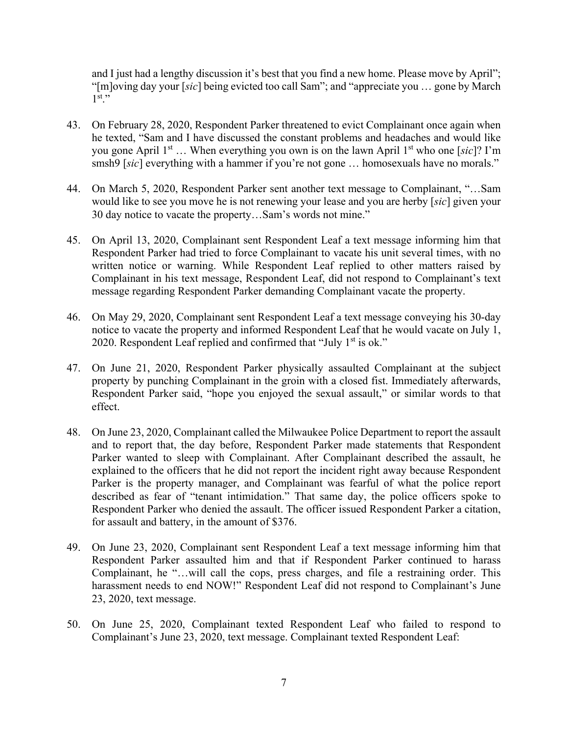and I just had a lengthy discussion it's best that you find a new home. Please move by April"; "[m]oving day your [*sic*] being evicted too call Sam"; and "appreciate you … gone by March  $1^{st}$ ."

- 43. On February 28, 2020, Respondent Parker threatened to evict Complainant once again when he texted, "Sam and I have discussed the constant problems and headaches and would like you gone April 1st … When everything you own is on the lawn April 1st who one [*sic*]? I'm smsh9 [*sic*] everything with a hammer if you're not gone ... homosexuals have no morals."
- 44. On March 5, 2020, Respondent Parker sent another text message to Complainant, "…Sam would like to see you move he is not renewing your lease and you are herby [*sic*] given your 30 day notice to vacate the property…Sam's words not mine."
- 45. On April 13, 2020, Complainant sent Respondent Leaf a text message informing him that Respondent Parker had tried to force Complainant to vacate his unit several times, with no written notice or warning. While Respondent Leaf replied to other matters raised by Complainant in his text message, Respondent Leaf, did not respond to Complainant's text message regarding Respondent Parker demanding Complainant vacate the property.
- 46. On May 29, 2020, Complainant sent Respondent Leaf a text message conveying his 30-day notice to vacate the property and informed Respondent Leaf that he would vacate on July 1, 2020. Respondent Leaf replied and confirmed that "July  $1<sup>st</sup>$  is ok."
- 47. On June 21, 2020, Respondent Parker physically assaulted Complainant at the subject property by punching Complainant in the groin with a closed fist. Immediately afterwards, Respondent Parker said, "hope you enjoyed the sexual assault," or similar words to that effect.
- 48. On June 23, 2020, Complainant called the Milwaukee Police Department to report the assault and to report that, the day before, Respondent Parker made statements that Respondent Parker wanted to sleep with Complainant. After Complainant described the assault, he explained to the officers that he did not report the incident right away because Respondent Parker is the property manager, and Complainant was fearful of what the police report described as fear of "tenant intimidation." That same day, the police officers spoke to Respondent Parker who denied the assault. The officer issued Respondent Parker a citation, for assault and battery, in the amount of \$376.
- 49. On June 23, 2020, Complainant sent Respondent Leaf a text message informing him that Respondent Parker assaulted him and that if Respondent Parker continued to harass Complainant, he "…will call the cops, press charges, and file a restraining order. This harassment needs to end NOW!" Respondent Leaf did not respond to Complainant's June 23, 2020, text message.
- 50. On June 25, 2020, Complainant texted Respondent Leaf who failed to respond to Complainant's June 23, 2020, text message. Complainant texted Respondent Leaf: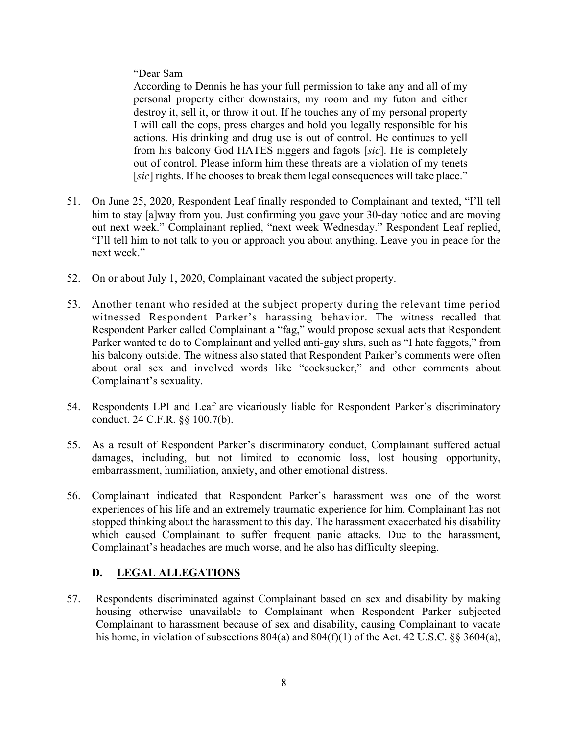"Dear Sam

According to Dennis he has your full permission to take any and all of my personal property either downstairs, my room and my futon and either destroy it, sell it, or throw it out. If he touches any of my personal property I will call the cops, press charges and hold you legally responsible for his actions. His drinking and drug use is out of control. He continues to yell from his balcony God HATES niggers and fagots [*sic*]. He is completely out of control. Please inform him these threats are a violation of my tenets [*sic*] rights. If he chooses to break them legal consequences will take place."

- 51. On June 25, 2020, Respondent Leaf finally responded to Complainant and texted, "I'll tell him to stay [a]way from you. Just confirming you gave your 30-day notice and are moving out next week." Complainant replied, "next week Wednesday." Respondent Leaf replied, "I'll tell him to not talk to you or approach you about anything. Leave you in peace for the next week."
- 52. On or about July 1, 2020, Complainant vacated the subject property.
- 53. Another tenant who resided at the subject property during the relevant time period witnessed Respondent Parker's harassing behavior. The witness recalled that Respondent Parker called Complainant a "fag," would propose sexual acts that Respondent Parker wanted to do to Complainant and yelled anti-gay slurs, such as "I hate faggots," from his balcony outside. The witness also stated that Respondent Parker's comments were often about oral sex and involved words like "cocksucker," and other comments about Complainant's sexuality.
- 54. Respondents LPI and Leaf are vicariously liable for Respondent Parker's discriminatory conduct. 24 C.F.R. §§ 100.7(b).
- 55. As a result of Respondent Parker's discriminatory conduct, Complainant suffered actual damages, including, but not limited to economic loss, lost housing opportunity, embarrassment, humiliation, anxiety, and other emotional distress.
- 56. Complainant indicated that Respondent Parker's harassment was one of the worst experiences of his life and an extremely traumatic experience for him. Complainant has not stopped thinking about the harassment to this day. The harassment exacerbated his disability which caused Complainant to suffer frequent panic attacks. Due to the harassment, Complainant's headaches are much worse, and he also has difficulty sleeping.

## **D. LEGAL ALLEGATIONS**

57. Respondents discriminated against Complainant based on sex and disability by making housing otherwise unavailable to Complainant when Respondent Parker subjected Complainant to harassment because of sex and disability, causing Complainant to vacate his home, in violation of subsections 804(a) and 804(f)(1) of the Act. 42 U.S.C. §§ 3604(a),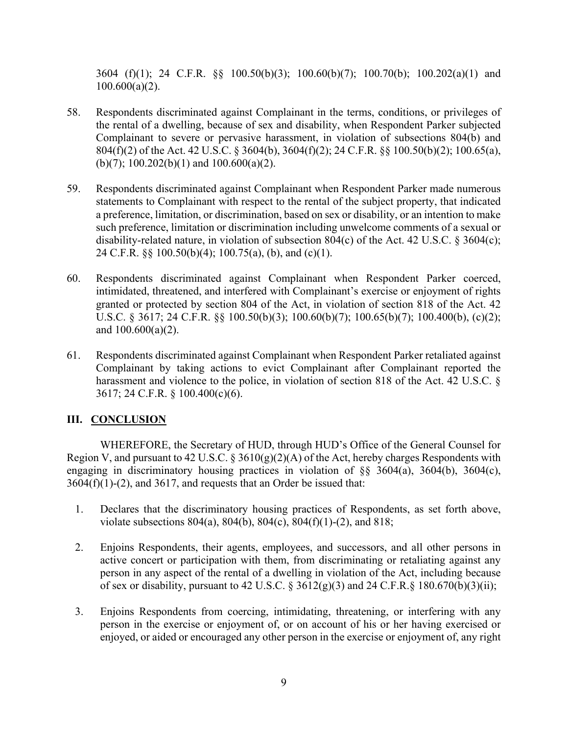3604 (f)(1); 24 C.F.R. §§ 100.50(b)(3); 100.60(b)(7); 100.70(b); 100.202(a)(1) and  $100.600(a)(2)$ .

- 58. Respondents discriminated against Complainant in the terms, conditions, or privileges of the rental of a dwelling, because of sex and disability, when Respondent Parker subjected Complainant to severe or pervasive harassment, in violation of subsections 804(b) and 804(f)(2) of the Act. 42 U.S.C. § 3604(b), 3604(f)(2); 24 C.F.R. §§ 100.50(b)(2); 100.65(a), (b)(7);  $100.202(b)(1)$  and  $100.600(a)(2)$ .
- 59. Respondents discriminated against Complainant when Respondent Parker made numerous statements to Complainant with respect to the rental of the subject property, that indicated a preference, limitation, or discrimination, based on sex or disability, or an intention to make such preference, limitation or discrimination including unwelcome comments of a sexual or disability-related nature, in violation of subsection 804(c) of the Act. 42 U.S.C. § 3604(c); 24 C.F.R. §§ 100.50(b)(4); 100.75(a), (b), and (c)(1).
- 60. Respondents discriminated against Complainant when Respondent Parker coerced, intimidated, threatened, and interfered with Complainant's exercise or enjoyment of rights granted or protected by section 804 of the Act, in violation of section 818 of the Act. 42 U.S.C. § 3617; 24 C.F.R. §§ 100.50(b)(3); 100.60(b)(7); 100.65(b)(7); 100.400(b), (c)(2); and 100.600(a)(2).
- 61. Respondents discriminated against Complainant when Respondent Parker retaliated against Complainant by taking actions to evict Complainant after Complainant reported the harassment and violence to the police, in violation of section 818 of the Act. 42 U.S.C. § 3617; 24 C.F.R. § 100.400(c)(6).

### **III. CONCLUSION**

WHEREFORE, the Secretary of HUD, through HUD's Office of the General Counsel for Region V, and pursuant to 42 U.S.C.  $\S 3610(g)(2)(A)$  of the Act, hereby charges Respondents with engaging in discriminatory housing practices in violation of  $\&$  3604(a), 3604(b), 3604(c),  $3604(f)(1)-(2)$ , and  $3617$ , and requests that an Order be issued that:

- 1. Declares that the discriminatory housing practices of Respondents, as set forth above, violate subsections 804(a), 804(b), 804(c), 804(f)(1)-(2), and 818;
- 2. Enjoins Respondents, their agents, employees, and successors, and all other persons in active concert or participation with them, from discriminating or retaliating against any person in any aspect of the rental of a dwelling in violation of the Act, including because of sex or disability, pursuant to 42 U.S.C.  $\S 3612(g)(3)$  and 24 C.F.R. $\S 180.670(b)(3)(ii)$ ;
- 3. Enjoins Respondents from coercing, intimidating, threatening, or interfering with any person in the exercise or enjoyment of, or on account of his or her having exercised or enjoyed, or aided or encouraged any other person in the exercise or enjoyment of, any right